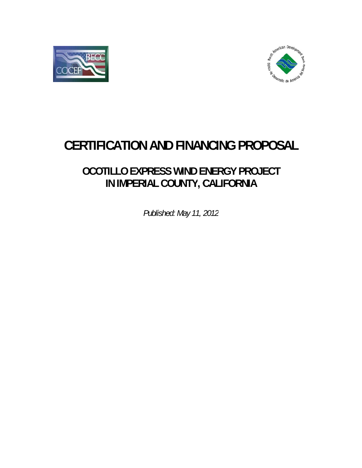



# **CERTIFICATION AND FINANCING PROPOSAL**

# **OCO TILLO E XPRESS S WIND E ENERGY PROJEC CT** IN IMPERIAL COUNTY, CALIFORNIA

*Publishe ed: May 11, 2012*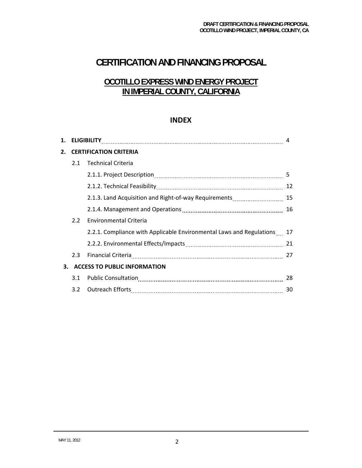# **CERTIFICATION AND FINANCING PROPOSAL**

# **OCOTILLO EXPRESS WIND ENERGY PROJECT IN IMPERIAL COUNTY, CALIFORNIA**

## **INDEX**

| 1. |                                     | 4                                                                       |    |
|----|-------------------------------------|-------------------------------------------------------------------------|----|
| 2. |                                     | <b>CERTIFICATION CRITERIA</b>                                           |    |
|    | 2.1                                 | <b>Technical Criteria</b>                                               |    |
|    |                                     |                                                                         | 5  |
|    |                                     |                                                                         | 12 |
|    |                                     | 2.1.3. Land Acquisition and Right-of-way Requirements                   | 15 |
|    |                                     |                                                                         | 16 |
|    | 2.2                                 | <b>Environmental Criteria</b>                                           |    |
|    |                                     | 2.2.1. Compliance with Applicable Environmental Laws and Regulations 17 |    |
|    |                                     |                                                                         |    |
|    | 2.3                                 | Financial Criteria 27                                                   |    |
| 3. | <b>ACCESS TO PUBLIC INFORMATION</b> |                                                                         |    |
|    | 3.1                                 |                                                                         | 28 |
|    |                                     | 3.2 Outreach Efforts                                                    | 30 |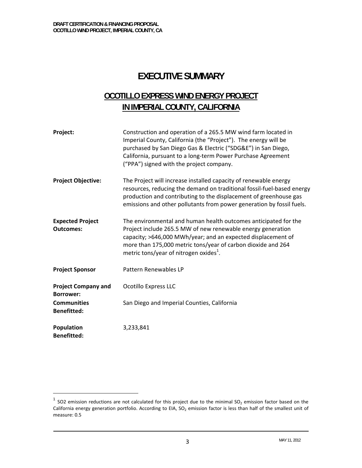-

# **EXECUTIVE SUMMARY**

# **OCOTILLO EXPRESS WIND ENERGY PROJECT IN IMPERIAL COUNTY, CALIFORNIA**

| Project:                                       | Construction and operation of a 265.5 MW wind farm located in<br>Imperial County, California (the "Project"). The energy will be<br>purchased by San Diego Gas & Electric ("SDG&E") in San Diego,<br>California, pursuant to a long-term Power Purchase Agreement<br>("PPA") signed with the project company.        |
|------------------------------------------------|----------------------------------------------------------------------------------------------------------------------------------------------------------------------------------------------------------------------------------------------------------------------------------------------------------------------|
| <b>Project Objective:</b>                      | The Project will increase installed capacity of renewable energy<br>resources, reducing the demand on traditional fossil-fuel-based energy<br>production and contributing to the displacement of greenhouse gas<br>emissions and other pollutants from power generation by fossil fuels.                             |
| <b>Expected Project</b><br><b>Outcomes:</b>    | The environmental and human health outcomes anticipated for the<br>Project include 265.5 MW of new renewable energy generation<br>capacity; >646,000 MWh/year; and an expected displacement of<br>more than 175,000 metric tons/year of carbon dioxide and 264<br>metric tons/year of nitrogen oxides <sup>1</sup> . |
| <b>Project Sponsor</b>                         | Pattern Renewables LP                                                                                                                                                                                                                                                                                                |
| <b>Project Company and</b><br><b>Borrower:</b> | <b>Ocotillo Express LLC</b>                                                                                                                                                                                                                                                                                          |
| <b>Communities</b><br><b>Benefitted:</b>       | San Diego and Imperial Counties, California                                                                                                                                                                                                                                                                          |
| Population<br><b>Benefitted:</b>               | 3,233,841                                                                                                                                                                                                                                                                                                            |

 $1$  SO2 emission reductions are not calculated for this project due to the minimal SO<sub>2</sub> emission factor based on the California energy generation portfolio. According to EIA,  $SO_2$  emission factor is less than half of the smallest unit of measure: 0.5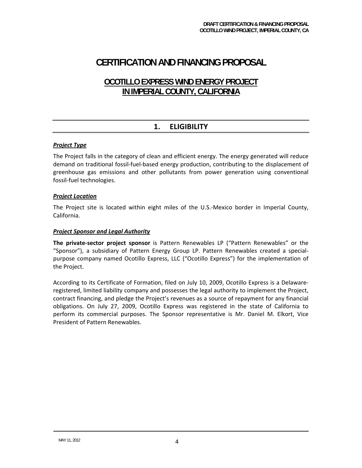# **CERTIFICATION AND FINANCING PROPOSAL**

# **OCOTILLO EXPRESS WIND ENERGY PROJECT IN IMPERIAL COUNTY, CALIFORNIA**

# **1. ELIGIBILITY**

#### *Project Type*

The Project falls in the category of clean and efficient energy. The energy generated will reduce demand on traditional fossil‐fuel‐based energy production, contributing to the displacement of greenhouse gas emissions and other pollutants from power generation using conventional fossil‐fuel technologies.

#### *Project Location*

The Project site is located within eight miles of the U.S.-Mexico border in Imperial County, California.

#### *Project Sponsor and Legal Authority*

**The private‐sector project sponsor** is Pattern Renewables LP ("Pattern Renewables" or the "Sponsor"), a subsidiary of Pattern Energy Group LP. Pattern Renewables created a special‐ purpose company named Ocotillo Express, LLC ("Ocotillo Express") for the implementation of the Project.

According to its Certificate of Formation, filed on July 10, 2009, Ocotillo Express is a Delaware‐ registered, limited liability company and possesses the legal authority to implement the Project, contract financing, and pledge the Project's revenues as a source of repayment for any financial obligations. On July 27, 2009, Ocotillo Express was registered in the state of California to perform its commercial purposes. The Sponsor representative is Mr. Daniel M. Elkort, Vice President of Pattern Renewables.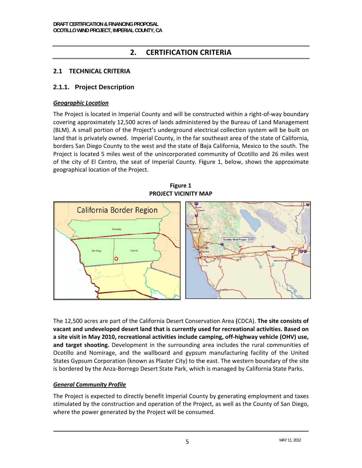#### **CERTIFICATION CRITERIA**  $2.$

# 2.1 TECHNICAL CRITERIA

## 2.1.1. Project Description

#### **Geographic Location**

The Project is located in Imperial County and will be constructed within a right-of-way boundary covering approximately 12,500 acres of lands administered by the Bureau of Land Management (BLM). A small portion of the Project's underground electrical collection system will be built on land that is privately owned. Imperial County, in the far southeast area of the state of California, borders San Diego County to the west and the state of Baja California, Mexico to the south. The Project is located 5 miles west of the unincorporated community of Ocotillo and 26 miles west of the city of El Centro, the seat of Imperial County. Figure 1, below, shows the approximate geographical location of the Project.

Figure 1 PROJECT VICINITY MAP



The 12,500 acres are part of the California Desert Conservation Area (CDCA). The site consists of vacant and undeveloped desert land that is currently used for recreational activities. Based on a site visit in May 2010, recreational activities include camping, off-highway vehicle (OHV) use, and target shooting. Development in the surrounding area includes the rural communities of Ocotillo and Nomirage, and the wallboard and gypsum manufacturing facility of the United States Gypsum Corporation (known as Plaster City) to the east. The western boundary of the site is bordered by the Anza-Borrego Desert State Park, which is managed by California State Parks.

## **General Community Profile**

The Project is expected to directly benefit Imperial County by generating employment and taxes stimulated by the construction and operation of the Project, as well as the County of San Diego, where the power generated by the Project will be consumed.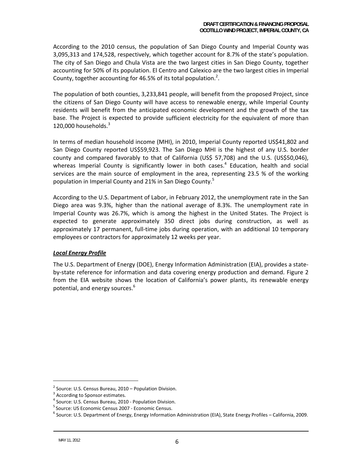According to the 2010 census, the population of San Diego County and Imperial County was 3,095,313 and 174,528, respectively, which together account for 8.7% of the state's population. The city of San Diego and Chula Vista are the two largest cities in San Diego County, together accounting for 50% of its population. El Centro and Calexico are the two largest cities in Imperial County, together accounting for 46.5% of its total population.<sup>2</sup>.

The population of both counties, 3,233,841 people, will benefit from the proposed Project, since the citizens of San Diego County will have access to renewable energy, while Imperial County residents will benefit from the anticipated economic development and the growth of the tax base. The Project is expected to provide sufficient electricity for the equivalent of more than  $120,000$  households. $3$ 

In terms of median household income (MHI), in 2010, Imperial County reported US\$41,802 and San Diego County reported US\$59,923. The San Diego MHI is the highest of any U.S. border county and compared favorably to that of California (US\$ 57,708) and the U.S. (US\$50,046), whereas Imperial County is significantly lower in both cases.<sup>4</sup> Education, health and social services are the main source of employment in the area, representing 23.5 % of the working population in Imperial County and 21% in San Diego County.<sup>5</sup>

According to the U.S. Department of Labor, in February 2012, the unemployment rate in the San Diego area was 9.3%, higher than the national average of 8.3%. The unemployment rate in Imperial County was 26.7%, which is among the highest in the United States. The Project is expected to generate approximately 350 direct jobs during construction, as well as approximately 17 permanent, full‐time jobs during operation, with an additional 10 temporary employees or contractors for approximately 12 weeks per year.

#### *Local Energy Profile*

The U.S. Department of Energy (DOE), Energy Information Administration (EIA), provides a state‐ by-state reference for information and data covering energy production and demand. Figure 2 from the EIA website shows the location of California's power plants, its renewable energy potential, and energy sources.<sup>6</sup>

<sup>&</sup>lt;sup>2</sup> Source: U.S. Census Bureau, 2010 – Population Division.<br>
<sup>3</sup> According to Sponsor estimates.<br>
<sup>4</sup> Source: U.S. Census Bureau, 2010 - Population Division.<br>
<sup>5</sup> Source: US Economic Census 2007 - Economic Census.

 $6$  Source: U.S. Department of Energy, Energy Information Administration (EIA), State Energy Profiles – California, 2009.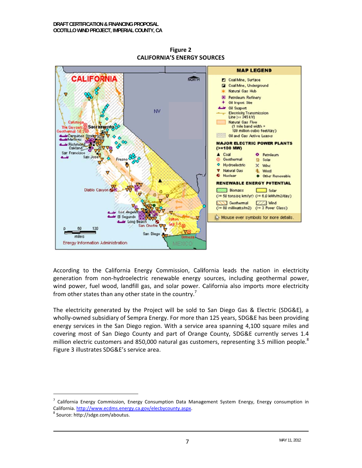

**Figure 2 CALIFORNIA'S ENERGY SOURCES** 

According to the California Energy Commission, California leads the nation in electricity generation from non-hydroelectric renewable energy sources, including geothermal power, wind power, fuel wood, landfill gas, and solar power. California also imports more electricity from other states than any other state in the country.<sup>7</sup>

The electricity generated by the Project will be sold to San Diego Gas & Electric (SDG&E), a wholly-owned subsidiary of Sempra Energy. For more than 125 years, SDG&E has been providing energy services in the San Diego region. With a service area spanning 4,100 square miles and covering most of San Diego County and part of Orange County, SDG&E currently serves 1.4 million electric customers and 850,000 natural gas customers, representing 3.5 million people.<sup>8</sup> Figure 3 illustrates SDG&E's service area.

<sup>&</sup>lt;sup>7</sup> California Energy Commission, Energy Consumption Data Management System Energy, Energy consumption in California. http://www.ecdms.energy.ca.gov/elecbycounty.aspx.

<sup>&</sup>lt;sup>8</sup> Source: http://sdge.com/aboutus.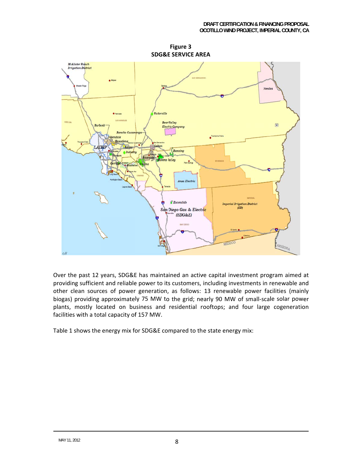

Figure 3 **SDG&E SERVICE AREA** 

Over the past 12 years, SDG&E has maintained an active capital investment program aimed at providing sufficient and reliable power to its customers, including investments in renewable and other clean sources of power generation, as follows: 13 renewable power facilities (mainly biogas) providing approximately 75 MW to the grid; nearly 90 MW of small-scale solar power plants, mostly located on business and residential rooftops; and four large cogeneration facilities with a total capacity of 157 MW.

Table 1 shows the energy mix for SDG&E compared to the state energy mix: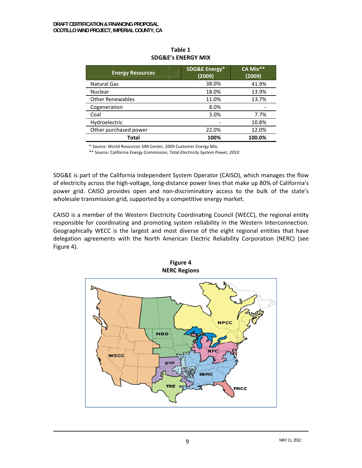| <b>Energy Resources</b> | <b>SDG&amp;E Energy*</b><br>(2009) | CA Mix**<br>(2009) |
|-------------------------|------------------------------------|--------------------|
| <b>Natural Gas</b>      | 38.0%                              | 41.9%              |
| <b>Nuclear</b>          | 18.0%                              | 13.9%              |
| <b>Other Renewables</b> | 11.0%                              | 13.7%              |
| Cogeneration            | 8.0%                               |                    |
| Coal                    | 3.0%                               | 7.7%               |
| Hydroelectric           |                                    | 10.8%              |
| Other purchased power   | 22.0%                              | 12.0%              |
| Total                   | 100%                               | 100.0%             |

Table 1 **SDG&E's ENERGY MIX** 

\* Source: World Resources SIM Center, 2009 Customer Energy Mix.

\*\* Source: California Energy Commission, Total Electricity System Power, 2010

SDG&E is part of the California Independent System Operator (CAISO), which manages the flow of electricity across the high-voltage, long-distance power lines that make up 80% of California's power grid. CAISO provides open and non-discriminatory access to the bulk of the state's wholesale transmission grid, supported by a competitive energy market.

CAISO is a member of the Western Electricity Coordinating Council (WECC), the regional entity responsible for coordinating and promoting system reliability in the Western Interconnection. Geographically WECC is the largest and most diverse of the eight regional entities that have delegation agreements with the North American Electric Reliability Corporation (NERC) (see Figure 4).

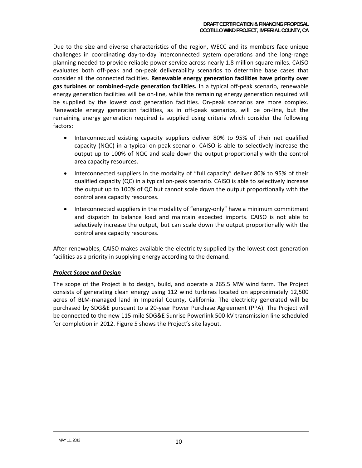Due to the size and diverse characteristics of the region, WECC and its members face unique challenges in coordinating day‐to‐day interconnected system operations and the long‐range planning needed to provide reliable power service across nearly 1.8 million square miles. CAISO evaluates both off‐peak and on‐peak deliverability scenarios to determine base cases that consider all the connected facilities. **Renewable energy generation facilities have priority over gas turbines or combined‐cycle generation facilities.** In a typical off‐peak scenario, renewable energy generation facilities will be on‐line, while the remaining energy generation required will be supplied by the lowest cost generation facilities. On‐peak scenarios are more complex. Renewable energy generation facilities, as in off-peak scenarios, will be on-line, but the remaining energy generation required is supplied using criteria which consider the following factors:

- Interconnected existing capacity suppliers deliver 80% to 95% of their net qualified capacity (NQC) in a typical on‐peak scenario. CAISO is able to selectively increase the output up to 100% of NQC and scale down the output proportionally with the control area capacity resources.
- Interconnected suppliers in the modality of "full capacity" deliver 80% to 95% of their qualified capacity (QC) in a typical on‐peak scenario. CAISO is able to selectively increase the output up to 100% of QC but cannot scale down the output proportionally with the control area capacity resources.
- Interconnected suppliers in the modality of "energy-only" have a minimum commitment and dispatch to balance load and maintain expected imports. CAISO is not able to selectively increase the output, but can scale down the output proportionally with the control area capacity resources.

After renewables, CAISO makes available the electricity supplied by the lowest cost generation facilities as a priority in supplying energy according to the demand.

#### *Project Scope and Design*

The scope of the Project is to design, build, and operate a 265.5 MW wind farm. The Project consists of generating clean energy using 112 wind turbines located on approximately 12,500 acres of BLM‐managed land in Imperial County, California. The electricity generated will be purchased by SDG&E pursuant to a 20‐year Power Purchase Agreement (PPA). The Project will be connected to the new 115‐mile SDG&E Sunrise Powerlink 500‐kV transmission line scheduled for completion in 2012. Figure 5 shows the Project's site layout.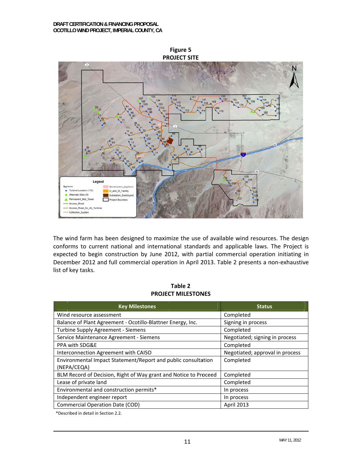

The wind farm has been designed to maximize the use of available wind resources. The design conforms to current national and international standards and applicable laws. The Project is expected to begin construction by June 2012, with partial commercial operation initiating in December 2012 and full commercial operation in April 2013. Table 2 presents a non-exhaustive list of key tasks.

Table 2 **PROJECT MILESTONES** 

| <b>Key Milestones</b>                                                        | <b>Status</b>                   |
|------------------------------------------------------------------------------|---------------------------------|
| Wind resource assessment                                                     | Completed                       |
| Balance of Plant Agreement - Ocotillo-Blattner Energy, Inc.                  | Signing in process              |
| Turbine Supply Agreement - Siemens                                           | Completed                       |
| Service Maintenance Agreement - Siemens                                      | Negotiated; signing in process  |
| PPA with SDG&E                                                               | Completed                       |
| Interconnection Agreement with CAISO                                         | Negotiated; approval in process |
| Environmental Impact Statement/Report and public consultation<br>(NEPA/CEQA) | Completed                       |
| BLM Record of Decision, Right of Way grant and Notice to Proceed             | Completed                       |
| Lease of private land                                                        | Completed                       |
| Environmental and construction permits*                                      | In process                      |
| Independent engineer report                                                  | In process                      |
| <b>Commercial Operation Date (COD)</b>                                       | <b>April 2013</b>               |

\*Described in detail in Section 2.2.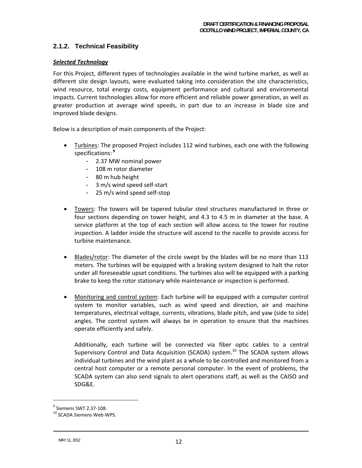### **2.1.2. Technical Feasibility**

#### *Selected Technology*

For this Project, different types of technologies available in the wind turbine market, as well as different site design layouts, were evaluated taking into consideration the site characteristics, wind resource, total energy costs, equipment performance and cultural and environmental impacts. Current technologies allow for more efficient and reliable power generation, as well as greater production at average wind speeds, in part due to an increase in blade size and improved blade designs.

Below is a description of main components of the Project:

- Turbines: The proposed Project includes 112 wind turbines, each one with the following specifications: **<sup>9</sup>**
	- 2.37 MW nominal power
	- 108 m rotor diameter
	- 80 m hub height
	- 3 m/s wind speed self‐start
	- 25 m/s wind speed self‐stop
- Towers: The towers will be tapered tubular steel structures manufactured in three or four sections depending on tower height, and 4.3 to 4.5 m in diameter at the base. A service platform at the top of each section will allow access to the tower for routine inspection. A ladder inside the structure will ascend to the nacelle to provide access for turbine maintenance.
- Blades/rotor: The diameter of the circle swept by the blades will be no more than 113 meters. The turbines will be equipped with a braking system designed to halt the rotor under all foreseeable upset conditions. The turbines also will be equipped with a parking brake to keep the rotor stationary while maintenance or inspection is performed.
- Monitoring and control system: Each turbine will be equipped with a computer control system to monitor variables, such as wind speed and direction, air and machine temperatures, electrical voltage, currents, vibrations, blade pitch, and yaw (side to side) angles. The control system will always be in operation to ensure that the machines operate efficiently and safely.

Additionally, each turbine will be connected via fiber optic cables to a central Supervisory Control and Data Acquisition (SCADA) system.<sup>10</sup> The SCADA system allows individual turbines and the wind plant as a whole to be controlled and monitored from a central host computer or a remote personal computer. In the event of problems, the SCADA system can also send signals to alert operations staff, as well as the CAISO and SDG&E.

-

 $9$  Siemens SWT 2.37-108.<br> $10$  SCADA Siemens Web-WPS.

 $\blacksquare$ MAY 11, 2012 12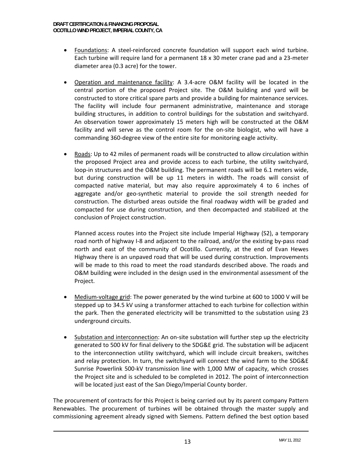- Foundations: A steel-reinforced concrete foundation will support each wind turbine. Each turbine will require land for a permanent 18 x 30 meter crane pad and a 23‐meter diameter area (0.3 acre) for the tower.
- Operation and maintenance facility: A 3.4‐acre O&M facility will be located in the central portion of the proposed Project site. The O&M building and yard will be constructed to store critical spare parts and provide a building for maintenance services. The facility will include four permanent administrative, maintenance and storage building structures, in addition to control buildings for the substation and switchyard. An observation tower approximately 15 meters high will be constructed at the O&M facility and will serve as the control room for the on-site biologist, who will have a commanding 360‐degree view of the entire site for monitoring eagle activity.
- Roads: Up to 42 miles of permanent roads will be constructed to allow circulation within the proposed Project area and provide access to each turbine, the utility switchyard, loop-in structures and the O&M building. The permanent roads will be 6.1 meters wide. but during construction will be up 11 meters in width. The roads will consist of compacted native material, but may also require approximately 4 to 6 inches of aggregate and/or geo‐synthetic material to provide the soil strength needed for construction. The disturbed areas outside the final roadway width will be graded and compacted for use during construction, and then decompacted and stabilized at the conclusion of Project construction.

Planned access routes into the Project site include Imperial Highway (S2), a temporary road north of highway I‐8 and adjacent to the railroad, and/or the existing by‐pass road north and east of the community of Ocotillo. Currently, at the end of Evan Hewes Highway there is an unpaved road that will be used during construction. Improvements will be made to this road to meet the road standards described above. The roads and O&M building were included in the design used in the environmental assessment of the Project.

- Medium-voltage grid: The power generated by the wind turbine at 600 to 1000 V will be stepped up to 34.5 kV using a transformer attached to each turbine for collection within the park. Then the generated electricity will be transmitted to the substation using 23 underground circuits.
- Substation and interconnection: An on‐site substation will further step up the electricity generated to 500 kV for final delivery to the SDG&E grid. The substation will be adjacent to the interconnection utility switchyard, which will include circuit breakers, switches and relay protection. In turn, the switchyard will connect the wind farm to the SDG&E Sunrise Powerlink 500‐kV transmission line with 1,000 MW of capacity, which crosses the Project site and is scheduled to be completed in 2012. The point of interconnection will be located just east of the San Diego/Imperial County border.

The procurement of contracts for this Project is being carried out by its parent company Pattern Renewables. The procurement of turbines will be obtained through the master supply and commissioning agreement already signed with Siemens. Pattern defined the best option based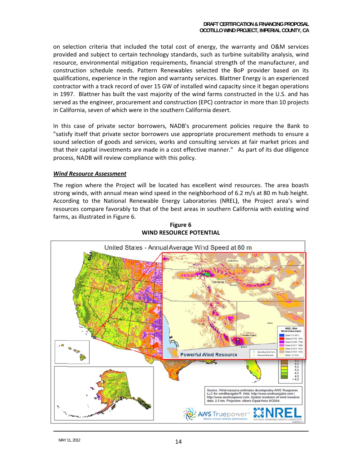on selection criteria that included the total cost of energy, the warranty and O&M services provided and subject to certain technology standards, such as turbine suitability analysis, wind resource, environmental mitigation requirements, financial strength of the manufacturer, and construction schedule needs. Pattern Renewables selected the BoP provider based on its qualifications, experience in the region and warranty services. Blattner Energy is an experienced contractor with a track record of over 15 GW of installed wind capacity since it began operations in 1997. Blattner has built the vast majority of the wind farms constructed in the U.S. and has served as the engineer, procurement and construction (EPC) contractor in more than 10 projects in California, seven of which were in the southern California desert.

In this case of private sector borrowers, NADB's procurement policies require the Bank to "satisfy itself that private sector borrowers use appropriate procurement methods to ensure a sound selection of goods and services, works and consulting services at fair market prices and that their capital investments are made in a cost effective manner." As part of its due diligence process, NADB will review compliance with this policy.

#### **Wind Resource Assessment**

The region where the Project will be located has excellent wind resources. The area boasts strong winds, with annual mean wind speed in the neighborhood of 6.2 m/s at 80 m hub height. According to the National Renewable Energy Laboratories (NREL), the Project area's wind resources compare favorably to that of the best areas in southern California with existing wind farms, as illustrated in Figure 6.



Figure 6 **WIND RESOURCE POTENTIAL**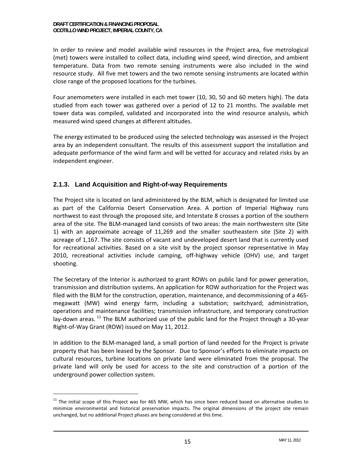In order to review and model available wind resources in the Project area, five metrological (met) towers were installed to collect data, including wind speed, wind direction, and ambient temperature. Data from two remote sensing instruments were also included in the wind resource study. All five met towers and the two remote sensing instruments are located within close range of the proposed locations for the turbines.

Four anemometers were installed in each met tower (10, 30, 50 and 60 meters high). The data studied from each tower was gathered over a period of 12 to 21 months. The available met tower data was compiled, validated and incorporated into the wind resource analysis, which measured wind speed changes at different altitudes.

The energy estimated to be produced using the selected technology was assessed in the Project area by an independent consultant. The results of this assessment support the installation and adequate performance of the wind farm and will be vetted for accuracy and related risks by an independent engineer.

# **2.1.3. Land Acquisition and Right-of-way Requirements**

The Project site is located on land administered by the BLM, which is designated for limited use as part of the California Desert Conservation Area. A portion of Imperial Highway runs northwest to east through the proposed site, and Interstate 8 crosses a portion of the southern area of the site. The BLM‐managed land consists of two areas: the main northwestern site (Site 1) with an approximate acreage of 11,269 and the smaller southeastern site (Site 2) with acreage of 1,167. The site consists of vacant and undeveloped desert land that is currently used for recreational activities. Based on a site visit by the project sponsor representative in May 2010, recreational activities include camping, off-highway vehicle (OHV) use, and target shooting.

The Secretary of the Interior is authorized to grant ROWs on public land for power generation, transmission and distribution systems. An application for ROW authorization for the Project was filed with the BLM for the construction, operation, maintenance, and decommissioning of a 465‐ megawatt (MW) wind energy farm, including a substation; switchyard; administration, operations and maintenance facilities; transmission infrastructure, and temporary construction lay-down areas.  $^{11}$  The BLM authorized use of the public land for the Project through a 30-year Right‐of‐Way Grant (ROW) issued on May 11, 2012.

In addition to the BLM‐managed land, a small portion of land needed for the Project is private property that has been leased by the Sponsor. Due to Sponsor's efforts to eliminate impacts on cultural resources, turbine locations on private land were eliminated from the proposal. The private land will only be used for access to the site and construction of a portion of the underground power collection system.

 $11$  The initial scope of this Project was for 465 MW, which has since been reduced based on alternative studies to minimize environmental and historical preservation impacts. The original dimensions of the project site remain unchanged, but no additional Project phases are being considered at this time.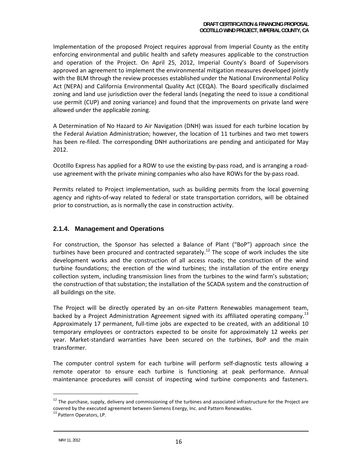Implementation of the proposed Project requires approval from Imperial County as the entity enforcing environmental and public health and safety measures applicable to the construction and operation of the Project. On April 25, 2012, Imperial County's Board of Supervisors approved an agreement to implement the environmental mitigation measures developed jointly with the BLM through the review processes established under the National Environmental Policy Act (NEPA) and California Environmental Quality Act (CEQA). The Board specifically disclaimed zoning and land use jurisdiction over the federal lands (negating the need to issue a conditional use permit (CUP) and zoning variance) and found that the improvements on private land were allowed under the applicable zoning.

A Determination of No Hazard to Air Navigation (DNH) was issued for each turbine location by the Federal Aviation Administration; however, the location of 11 turbines and two met towers has been re-filed. The corresponding DNH authorizations are pending and anticipated for May 2012.

Ocotillo Express has applied for a ROW to use the existing by‐pass road, and is arranging a road‐ use agreement with the private mining companies who also have ROWs for the by‐pass road.

Permits related to Project implementation, such as building permits from the local governing agency and rights‐of‐way related to federal or state transportation corridors, will be obtained prior to construction, as is normally the case in construction activity.

### **2.1.4. Management and Operations**

For construction, the Sponsor has selected a Balance of Plant ("BoP") approach since the turbines have been procured and contracted separately.<sup>12</sup> The scope of work includes the site development works and the construction of all access roads; the construction of the wind turbine foundations; the erection of the wind turbines; the installation of the entire energy collection system, including transmission lines from the turbines to the wind farm's substation; the construction of that substation; the installation of the SCADA system and the construction of all buildings on the site.

The Project will be directly operated by an on‐site Pattern Renewables management team, backed by a Project Administration Agreement signed with its affiliated operating company.<sup>13</sup> Approximately 17 permanent, full‐time jobs are expected to be created, with an additional 10 temporary employees or contractors expected to be onsite for approximately 12 weeks per year. Market‐standard warranties have been secured on the turbines, BoP and the main transformer.

The computer control system for each turbine will perform self‐diagnostic tests allowing a remote operator to ensure each turbine is functioning at peak performance. Annual maintenance procedures will consist of inspecting wind turbine components and fasteners.

 $12$  The purchase, supply, delivery and commissioning of the turbines and associated infrastructure for the Project are covered by the executed agreement between Siemens Energy, Inc. and Pattern Renewables.<br><sup>13</sup> Pattern Operators, LP.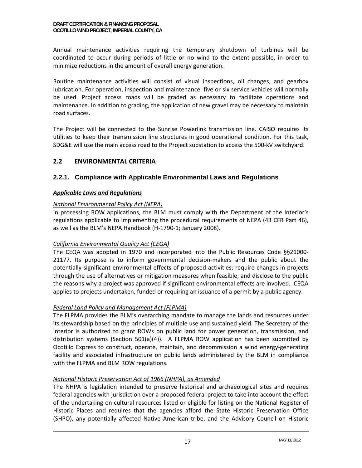Annual maintenance activities requiring the temporary shutdown of turbines will be coordinated to occur during periods of little or no wind to the extent possible, in order to minimize reductions in the amount of overall energy generation.

Routine maintenance activities will consist of visual inspections, oil changes, and gearbox lubrication. For operation, inspection and maintenance, five or six service vehicles will normally be used. Project access roads will be graded as necessary to facilitate operations and maintenance. In addition to grading, the application of new gravel may be necessary to maintain road surfaces.

The Project will be connected to the Sunrise Powerlink transmission line. CAISO requires its utilities to keep their transmission line structures in good operational condition. For this task, SDG&E will use the main access road to the Project substation to access the 500‐kV switchyard.

# **2.2 ENVIRONMENTAL CRITERIA**

# **2.2.1. Compliance with Applicable Environmental Laws and Regulations**

### *Applicable Laws and Regulations*

### *National Environmental Policy Act (NEPA)*

In processing ROW applications, the BLM must comply with the Department of the Interior's regulations applicable to implementing the procedural requirements of NEPA (43 CFR Part 46), as well as the BLM's NEPA Handbook (H‐1790‐1; January 2008).

## *California Environmental Quality Act (CEQA)*

The CEQA was adopted in 1970 and incorporated into the Public Resources Code §§21000‐ 21177. Its purpose is to inform governmental decision‐makers and the public about the potentially significant environmental effects of proposed activities; require changes in projects through the use of alternatives or mitigation measures when feasible; and disclose to the public the reasons why a project was approved if significant environmental effects are involved. CEQA applies to projects undertaken, funded or requiring an issuance of a permit by a public agency.

#### *Federal Land Policy and Management Act (FLPMA)*

The FLPMA provides the BLM's overarching mandate to manage the lands and resources under its stewardship based on the principles of multiple use and sustained yield. The Secretary of the Interior is authorized to grant ROWs on public land for power generation, transmission, and distribution systems (Section 501(a)(4)). A FLPMA ROW application has been submitted by Ocotillo Express to construct, operate, maintain, and decommission a wind energy‐generating facility and associated infrastructure on public lands administered by the BLM in compliance with the FLPMA and BLM ROW regulations.

#### *National Historic Preservation Act of 1966 (NHPA), as Amended*

The NHPA is legislation intended to preserve historical and archaeological sites and requires federal agencies with jurisdiction over a proposed federal project to take into account the effect of the undertaking on cultural resources listed or eligible for listing on the National Register of Historic Places and requires that the agencies afford the State Historic Preservation Office (SHPO), any potentially affected Native American tribe, and the Advisory Council on Historic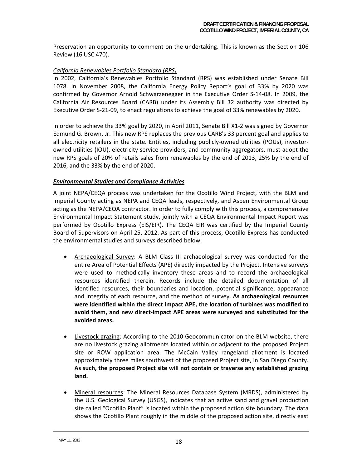Preservation an opportunity to comment on the undertaking. This is known as the Section 106 Review (16 USC 470).

#### *California Renewables Portfolio Standard (RPS)*

In 2002, California's Renewables Portfolio Standard (RPS) was established under Senate Bill 1078. In November 2008, the California Energy Policy Report's goal of 33% by 2020 was confirmed by Governor Arnold Schwarzenegger in the Executive Order S‐14‐08. In 2009, the California Air Resources Board (CARB) under its Assembly Bill 32 authority was directed by Executive Order S‐21‐09, to enact regulations to achieve the goal of 33% renewables by 2020.

In order to achieve the 33% goal by 2020, in April 2011, Senate Bill X1‐2 was signed by Governor Edmund G. Brown, Jr. This new RPS replaces the previous CARB's 33 percent goal and applies to all electricity retailers in the state. Entities, including publicly‐owned utilities (POUs), investor‐ owned utilities (IOU), electricity service providers, and community aggregators, must adopt the new RPS goals of 20% of retails sales from renewables by the end of 2013, 25% by the end of 2016, and the 33% by the end of 2020.

#### *Environmental Studies and Compliance Activities*

A joint NEPA/CEQA process was undertaken for the Ocotillo Wind Project, with the BLM and Imperial County acting as NEPA and CEQA leads, respectively, and Aspen Environmental Group acting as the NEPA/CEQA contractor. In order to fully comply with this process, a comprehensive Environmental Impact Statement study, jointly with a CEQA Environmental Impact Report was performed by Ocotillo Express (EIS/EIR). The CEQA EIR was certified by the Imperial County Board of Supervisors on April 25, 2012. As part of this process, Ocotillo Express has conducted the environmental studies and surveys described below:

- Archaeological Survey: A BLM Class III archaeological survey was conducted for the entire Area of Potential Effects (APE) directly impacted by the Project. Intensive surveys were used to methodically inventory these areas and to record the archaeological resources identified therein. Records include the detailed documentation of all identified resources, their boundaries and location, potential significance, appearance and integrity of each resource, and the method of survey. **As archaeological resources were identified within the direct impact APE, the location of turbines was modified to avoid them, and new direct‐impact APE areas were surveyed and substituted for the avoided areas.**
- Livestock grazing: According to the 2010 Geocommunicator on the BLM website, there are no livestock grazing allotments located within or adjacent to the proposed Project site or ROW application area. The McCain Valley rangeland allotment is located approximately three miles southwest of the proposed Project site, in San Diego County. **As such, the proposed Project site will not contain or traverse any established grazing land.**
- Mineral resources: The Mineral Resources Database System (MRDS), administered by the U.S. Geological Survey (USGS), indicates that an active sand and gravel production site called "Ocotillo Plant" is located within the proposed action site boundary. The data shows the Ocotillo Plant roughly in the middle of the proposed action site, directly east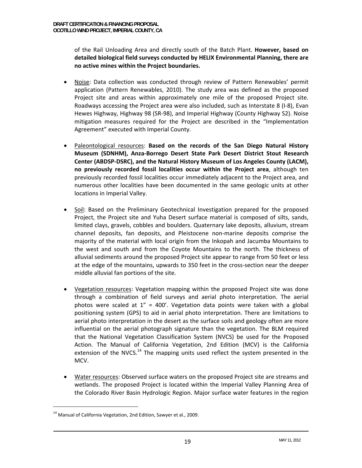of the Rail Unloading Area and directly south of the Batch Plant. **However, based on detailed biological field surveys conducted by HELIX Environmental Planning, there are no active mines within the Project boundaries.**

- Noise: Data collection was conducted through review of Pattern Renewables' permit application (Pattern Renewables, 2010). The study area was defined as the proposed Project site and areas within approximately one mile of the proposed Project site. Roadways accessing the Project area were also included, such as Interstate 8 (I‐8), Evan Hewes Highway, Highway 98 (SR‐98), and Imperial Highway (County Highway S2). Noise mitigation measures required for the Project are described in the "Implementation Agreement" executed with Imperial County.
- Paleontological resources: **Based on the records of the San Diego Natural History Museum (SDNHM), Anza‐Borrego Desert State Park Desert District Stout Research Center (ABDSP‐DSRC), and the Natural History Museum of Los Angeles County (LACM), no previously recorded fossil localities occur within the Project area**, although ten previously recorded fossil localities occur immediately adjacent to the Project area, and numerous other localities have been documented in the same geologic units at other locations in Imperial Valley.
- Soil: Based on the Preliminary Geotechnical Investigation prepared for the proposed Project, the Project site and Yuha Desert surface material is composed of silts, sands, limited clays, gravels, cobbles and boulders. Quaternary lake deposits, alluvium, stream channel deposits, fan deposits, and Pleistocene non‐marine deposits comprise the majority of the material with local origin from the Inkopah and Jacumba Mountains to the west and south and from the Coyote Mountains to the north. The thickness of alluvial sediments around the proposed Project site appear to range from 50 feet or less at the edge of the mountains, upwards to 350 feet in the cross‐section near the deeper middle alluvial fan portions of the site.
- Vegetation resources: Vegetation mapping within the proposed Project site was done through a combination of field surveys and aerial photo interpretation. The aerial photos were scaled at  $1'' = 400'$ . Vegetation data points were taken with a global positioning system (GPS) to aid in aerial photo interpretation. There are limitations to aerial photo interpretation in the desert as the surface soils and geology often are more influential on the aerial photograph signature than the vegetation. The BLM required that the National Vegetation Classification System (NVCS) be used for the Proposed Action. The Manual of California Vegetation, 2nd Edition (MCV) is the California extension of the NVCS.<sup>14</sup> The mapping units used reflect the system presented in the MCV.
- Water resources: Observed surface waters on the proposed Project site are streams and wetlands. The proposed Project is located within the Imperial Valley Planning Area of the Colorado River Basin Hydrologic Region. Major surface water features in the region

<sup>&</sup>lt;sup>14</sup> Manual of California Vegetation, 2nd Edition, Sawyer et al., 2009.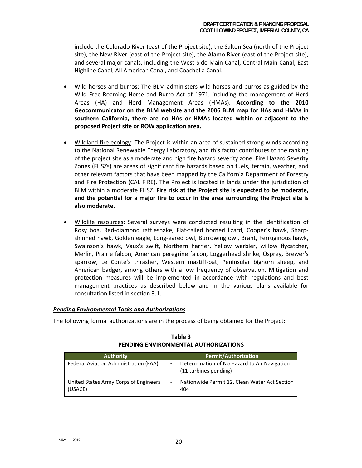include the Colorado River (east of the Project site), the Salton Sea (north of the Project site), the New River (east of the Project site), the Alamo River (east of the Project site), and several major canals, including the West Side Main Canal, Central Main Canal, East Highline Canal, All American Canal, and Coachella Canal.

- Wild horses and burros: The BLM administers wild horses and burros as guided by the Wild Free‐Roaming Horse and Burro Act of 1971, including the management of Herd Areas (HA) and Herd Management Areas (HMAs). **According to the 2010 Geocommunicator on the BLM website and the 2006 BLM map for HAs and HMAs in southern California, there are no HAs or HMAs located within or adjacent to the proposed Project site or ROW application area.**
- Wildland fire ecology: The Project is within an area of sustained strong winds according to the National Renewable Energy Laboratory, and this factor contributes to the ranking of the project site as a moderate and high fire hazard severity zone. Fire Hazard Severity Zones (FHSZs) are areas of significant fire hazards based on fuels, terrain, weather, and other relevant factors that have been mapped by the California Department of Forestry and Fire Protection (CAL FIRE). The Project is located in lands under the jurisdiction of BLM within a moderate FHSZ. **Fire risk at the Project site is expected to be moderate, and the potential for a major fire to occur in the area surrounding the Project site is also moderate.**
- Wildlife resources: Several surveys were conducted resulting in the identification of Rosy boa, Red‐diamond rattlesnake, Flat‐tailed horned lizard, Cooper's hawk, Sharp‐ shinned hawk, Golden eagle, Long‐eared owl, Burrowing owl, Brant, Ferruginous hawk, Swainson's hawk, Vaux's swift, Northern harrier, Yellow warbler, willow flycatcher, Merlin, Prairie falcon, American peregrine falcon, Loggerhead shrike, Osprey, Brewer's sparrow, Le Conte's thrasher, Western mastiff‐bat, Peninsular bighorn sheep, and American badger, among others with a low frequency of observation. Mitigation and protection measures will be implemented in accordance with regulations and best management practices as described below and in the various plans available for consultation listed in section 3.1.

#### *Pending Environmental Tasks and Authorizations*

The following formal authorizations are in the process of being obtained for the Project:

| <b>Authority</b>                                 | <b>Permit/Authorization</b>                                           |
|--------------------------------------------------|-----------------------------------------------------------------------|
| Federal Aviation Administration (FAA)            | Determination of No Hazard to Air Navigation<br>(11 turbines pending) |
| United States Army Corps of Engineers<br>(USACE) | Nationwide Permit 12, Clean Water Act Section<br>404                  |

**Table 3 PENDING ENVIRONMENTAL AUTHORIZATIONS**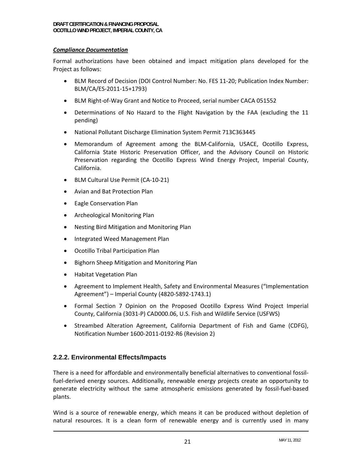#### *Compliance Documentation*

Formal authorizations have been obtained and impact mitigation plans developed for the Project as follows:

- BLM Record of Decision (DOI Control Number: No. FES 11-20; Publication Index Number: BLM/CA/ES‐2011‐15+1793)
- BLM Right-of-Way Grant and Notice to Proceed, serial number CACA 051552
- Determinations of No Hazard to the Flight Navigation by the FAA (excluding the 11 pending)
- National Pollutant Discharge Elimination System Permit 713C363445
- Memorandum of Agreement among the BLM‐California, USACE, Ocotillo Express, California State Historic Preservation Officer, and the Advisory Council on Historic Preservation regarding the Ocotillo Express Wind Energy Project, Imperial County, California.
- BLM Cultural Use Permit (CA-10-21)
- Avian and Bat Protection Plan
- Eagle Conservation Plan
- Archeological Monitoring Plan
- Nesting Bird Mitigation and Monitoring Plan
- Integrated Weed Management Plan
- Ocotillo Tribal Participation Plan
- Bighorn Sheep Mitigation and Monitoring Plan
- Habitat Vegetation Plan
- Agreement to Implement Health, Safety and Environmental Measures ("Implementation Agreement") – Imperial County (4820‐5892‐1743.1)
- Formal Section 7 Opinion on the Proposed Ocotillo Express Wind Project Imperial County, California (3031‐P) CAD000.06, U.S. Fish and Wildlife Service (USFWS)
- Streambed Alteration Agreement, California Department of Fish and Game (CDFG), Notification Number 1600‐2011‐0192‐R6 (Revision 2)

## **2.2.2. Environmental Effects/Impacts**

There is a need for affordable and environmentally beneficial alternatives to conventional fossil‐ fuel-derived energy sources. Additionally, renewable energy projects create an opportunity to generate electricity without the same atmospheric emissions generated by fossil‐fuel‐based plants.

Wind is a source of renewable energy, which means it can be produced without depletion of natural resources. It is a clean form of renewable energy and is currently used in many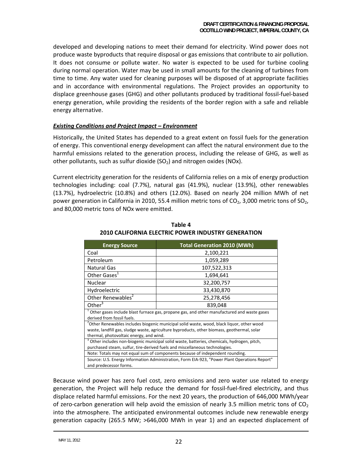developed and developing nations to meet their demand for electricity. Wind power does not produce waste byproducts that require disposal or gas emissions that contribute to air pollution. It does not consume or pollute water. No water is expected to be used for turbine cooling during normal operation. Water may be used in small amounts for the cleaning of turbines from time to time. Any water used for cleaning purposes will be disposed of at appropriate facilities and in accordance with environmental regulations. The Project provides an opportunity to displace greenhouse gases (GHG) and other pollutants produced by traditional fossil‐fuel‐based energy generation, while providing the residents of the border region with a safe and reliable energy alternative.

#### *Existing Conditions and Project Impact – Environment*

Historically, the United States has depended to a great extent on fossil fuels for the generation of energy. This conventional energy development can affect the natural environment due to the harmful emissions related to the generation process, including the release of GHG, as well as other pollutants, such as sulfur dioxide  $(SO<sub>2</sub>)$  and nitrogen oxides (NOx).

Current electricity generation for the residents of California relies on a mix of energy production technologies including: coal (7.7%), natural gas (41.9%), nuclear (13.9%), other renewables (13.7%), hydroelectric (10.8%) and others (12.0%). Based on nearly 204 million MWh of net power generation in California in 2010, 55.4 million metric tons of  $CO<sub>2</sub>$ , 3,000 metric tons of  $SO<sub>2</sub>$ , and 80,000 metric tons of NOx were emitted.

| <b>Energy Source</b>                                                                                   | <b>Total Generation 2010 (MWh)</b> |  |  |  |
|--------------------------------------------------------------------------------------------------------|------------------------------------|--|--|--|
| Coal                                                                                                   | 2,100,221                          |  |  |  |
| Petroleum                                                                                              | 1,059,289                          |  |  |  |
| <b>Natural Gas</b>                                                                                     | 107,522,313                        |  |  |  |
| Other Gases <sup>1</sup>                                                                               | 1,694,641                          |  |  |  |
| <b>Nuclear</b>                                                                                         | 32,200,757                         |  |  |  |
| Hydroelectric                                                                                          | 33,430,870                         |  |  |  |
| Other Renewables <sup>2</sup>                                                                          | 25,278,456                         |  |  |  |
| Other $3$                                                                                              | 839,048                            |  |  |  |
| $^1$ Other gases include blast furnace gas, propane gas, and other manufactured and waste gases        |                                    |  |  |  |
| derived from fossil fuels.                                                                             |                                    |  |  |  |
| <sup>2</sup> Other Renewables includes biogenic municipal solid waste, wood, black liquor, other wood  |                                    |  |  |  |
| waste, landfill gas, sludge waste, agriculture byproducts, other biomass, geothermal, solar            |                                    |  |  |  |
| thermal, photovoltaic energy, and wind.                                                                |                                    |  |  |  |
| <sup>3</sup> Other includes non-biogenic municipal solid waste, batteries, chemicals, hydrogen, pitch, |                                    |  |  |  |
| purchased steam, sulfur, tire-derived fuels and miscellaneous technologies.                            |                                    |  |  |  |
| Note: Totals may not equal sum of components because of independent rounding.                          |                                    |  |  |  |
| Source: U.S. Energy Information Administration, Form EIA-923, "Power Plant Operations Report"          |                                    |  |  |  |
| and predecessor forms.                                                                                 |                                    |  |  |  |

**Table 4 2010 CALIFORNIA ELECTRIC POWER INDUSTRY GENERATION**

Because wind power has zero fuel cost, zero emissions and zero water use related to energy generation, the Project will help reduce the demand for fossil‐fuel‐fired electricity, and thus displace related harmful emissions. For the next 20 years, the production of 646,000 MWh/year of zero-carbon generation will help avoid the emission of nearly 3.5 million metric tons of  $CO<sub>2</sub>$ into the atmosphere. The anticipated environmental outcomes include new renewable energy generation capacity (265.5 MW; >646,000 MWh in year 1) and an expected displacement of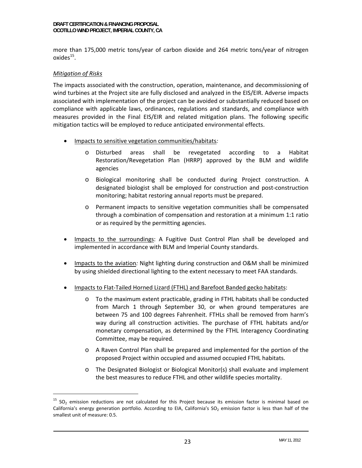more than 175,000 metric tons/year of carbon dioxide and 264 metric tons/year of nitrogen oxides $^{15}$ .

#### *Mitigation of Risks*

-

The impacts associated with the construction, operation, maintenance, and decommissioning of wind turbines at the Project site are fully disclosed and analyzed in the EIS/EIR. Adverse impacts associated with implementation of the project can be avoided or substantially reduced based on compliance with applicable laws, ordinances, regulations and standards, and compliance with measures provided in the Final EIS/EIR and related mitigation plans. The following specific mitigation tactics will be employed to reduce anticipated environmental effects.

- Impacts to sensitive vegetation communities/habitats*:*
	- o Disturbed areas shall be revegetated according to a Habitat Restoration/Revegetation Plan (HRRP) approved by the BLM and wildlife agencies
	- o Biological monitoring shall be conducted during Project construction. A designated biologist shall be employed for construction and post‐construction monitoring; habitat restoring annual reports must be prepared.
	- o Permanent impacts to sensitive vegetation communities shall be compensated through a combination of compensation and restoration at a minimum 1:1 ratio or as required by the permitting agencies.
- Impacts to the surroundings: A Fugitive Dust Control Plan shall be developed and implemented in accordance with BLM and Imperial County standards.
- Impacts to the aviation*:* Night lighting during construction and O&M shall be minimized by using shielded directional lighting to the extent necessary to meet FAA standards.
- Impacts to Flat‐Tailed Horned Lizard (FTHL) and Barefoot Banded gecko habitats:
	- o To the maximum extent practicable, grading in FTHL habitats shall be conducted from March 1 through September 30, or when ground temperatures are between 75 and 100 degrees Fahrenheit. FTHLs shall be removed from harm's way during all construction activities. The purchase of FTHL habitats and/or monetary compensation, as determined by the FTHL Interagency Coordinating Committee, may be required.
	- o A Raven Control Plan shall be prepared and implemented for the portion of the proposed Project within occupied and assumed occupied FTHL habitats.
	- o The Designated Biologist or Biological Monitor(s) shall evaluate and implement the best measures to reduce FTHL and other wildlife species mortality.

 $15$  SO<sub>2</sub> emission reductions are not calculated for this Project because its emission factor is minimal based on California's energy generation portfolio. According to EIA, California's SO<sub>2</sub> emission factor is less than half of the smallest unit of measure: 0.5.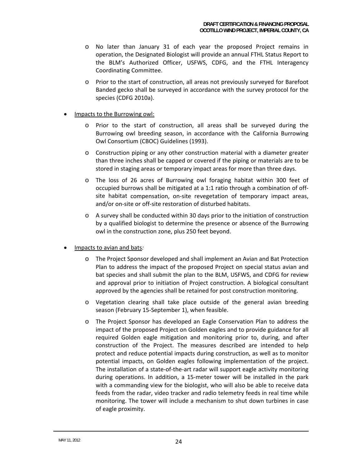- o No later than January 31 of each year the proposed Project remains in operation, the Designated Biologist will provide an annual FTHL Status Report to the BLM's Authorized Officer, USFWS, CDFG, and the FTHL Interagency Coordinating Committee.
- o Prior to the start of construction, all areas not previously surveyed for Barefoot Banded gecko shall be surveyed in accordance with the survey protocol for the species (CDFG 2010a).
- Impacts to the Burrowing owl:
	- o Prior to the start of construction, all areas shall be surveyed during the Burrowing owl breeding season, in accordance with the California Burrowing Owl Consortium (CBOC) Guidelines (1993).
	- o Construction piping or any other construction material with a diameter greater than three inches shall be capped or covered if the piping or materials are to be stored in staging areas or temporary impact areas for more than three days.
	- o The loss of 26 acres of Burrowing owl foraging habitat within 300 feet of occupied burrows shall be mitigated at a 1:1 ratio through a combination of off‐ site habitat compensation, on‐site revegetation of temporary impact areas, and/or on‐site or off‐site restoration of disturbed habitats.
	- o A survey shall be conducted within 30 days prior to the initiation of construction by a qualified biologist to determine the presence or absence of the Burrowing owl in the construction zone, plus 250 feet beyond.
- Impacts to avian and bats*:*
	- o The Project Sponsor developed and shall implement an Avian and Bat Protection Plan to address the impact of the proposed Project on special status avian and bat species and shall submit the plan to the BLM, USFWS, and CDFG for review and approval prior to initiation of Project construction. A biological consultant approved by the agencies shall be retained for post construction monitoring.
	- o Vegetation clearing shall take place outside of the general avian breeding season (February 15‐September 1), when feasible.
	- o The Project Sponsor has developed an Eagle Conservation Plan to address the impact of the proposed Project on Golden eagles and to provide guidance for all required Golden eagle mitigation and monitoring prior to, during, and after construction of the Project. The measures described are intended to help protect and reduce potential impacts during construction, as well as to monitor potential impacts, on Golden eagles following implementation of the project. The installation of a state‐of‐the‐art radar will support eagle activity monitoring during operations. In addition, a 15‐meter tower will be installed in the park with a commanding view for the biologist, who will also be able to receive data feeds from the radar, video tracker and radio telemetry feeds in real time while monitoring. The tower will include a mechanism to shut down turbines in case of eagle proximity.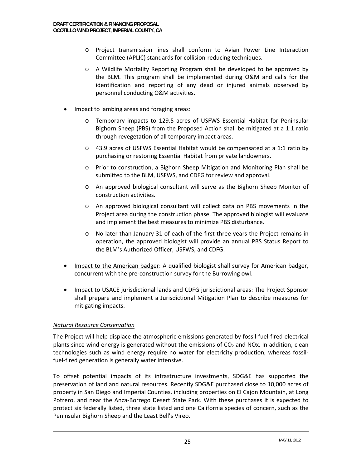- o Project transmission lines shall conform to Avian Power Line Interaction Committee (APLIC) standards for collision‐reducing techniques.
- o A Wildlife Mortality Reporting Program shall be developed to be approved by the BLM. This program shall be implemented during O&M and calls for the identification and reporting of any dead or injured animals observed by personnel conducting O&M activities.
- Impact to lambing areas and foraging areas:
	- o Temporary impacts to 129.5 acres of USFWS Essential Habitat for Peninsular Bighorn Sheep (PBS) from the Proposed Action shall be mitigated at a 1:1 ratio through revegetation of all temporary impact areas.
	- o 43.9 acres of USFWS Essential Habitat would be compensated at a 1:1 ratio by purchasing or restoring Essential Habitat from private landowners.
	- o Prior to construction, a Bighorn Sheep Mitigation and Monitoring Plan shall be submitted to the BLM, USFWS, and CDFG for review and approval.
	- o An approved biological consultant will serve as the Bighorn Sheep Monitor of construction activities.
	- o An approved biological consultant will collect data on PBS movements in the Project area during the construction phase. The approved biologist will evaluate and implement the best measures to minimize PBS disturbance.
	- o No later than January 31 of each of the first three years the Project remains in operation, the approved biologist will provide an annual PBS Status Report to the BLM's Authorized Officer, USFWS, and CDFG.
- Impact to the American badger: A qualified biologist shall survey for American badger, concurrent with the pre‐construction survey for the Burrowing owl.
- Impact to USACE jurisdictional lands and CDFG jurisdictional areas: The Project Sponsor shall prepare and implement a Jurisdictional Mitigation Plan to describe measures for mitigating impacts.

#### *Natural Resource Conservation*

The Project will help displace the atmospheric emissions generated by fossil‐fuel‐fired electrical plants since wind energy is generated without the emissions of  $CO<sub>2</sub>$  and NOx. In addition, clean technologies such as wind energy require no water for electricity production, whereas fossil‐ fuel-fired generation is generally water intensive.

To offset potential impacts of its infrastructure investments, SDG&E has supported the preservation of land and natural resources. Recently SDG&E purchased close to 10,000 acres of property in San Diego and Imperial Counties, including properties on El Cajon Mountain, at Long Potrero, and near the Anza‐Borrego Desert State Park. With these purchases it is expected to protect six federally listed, three state listed and one California species of concern, such as the Peninsular Bighorn Sheep and the Least Bell's Vireo.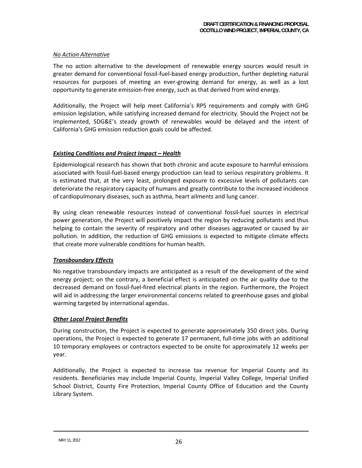#### *No Action Alternative*

The no action alternative to the development of renewable energy sources would result in greater demand for conventional fossil‐fuel‐based energy production, further depleting natural resources for purposes of meeting an ever-growing demand for energy, as well as a lost opportunity to generate emission‐free energy, such as that derived from wind energy.

Additionally, the Project will help meet California's RPS requirements and comply with GHG emission legislation, while satisfying increased demand for electricity. Should the Project not be implemented, SDG&E's steady growth of renewables would be delayed and the intent of California's GHG emission reduction goals could be affected.

#### *Existing Conditions and Project Impact – Health*

Epidemiological research has shown that both chronic and acute exposure to harmful emissions associated with fossil‐fuel‐based energy production can lead to serious respiratory problems. It is estimated that, at the very least, prolonged exposure to excessive levels of pollutants can deteriorate the respiratory capacity of humans and greatly contribute to the increased incidence of cardiopulmonary diseases, such as asthma, heart ailments and lung cancer.

By using clean renewable resources instead of conventional fossil‐fuel sources in electrical power generation, the Project will positively impact the region by reducing pollutants and thus helping to contain the severity of respiratory and other diseases aggravated or caused by air pollution. In addition, the reduction of GHG emissions is expected to mitigate climate effects that create more vulnerable conditions for human health.

#### *Transboundary Effects*

No negative transboundary impacts are anticipated as a result of the development of the wind energy project; on the contrary, a beneficial effect is anticipated on the air quality due to the decreased demand on fossil‐fuel‐fired electrical plants in the region. Furthermore, the Project will aid in addressing the larger environmental concerns related to greenhouse gases and global warming targeted by international agendas.

#### *Other Local Project Benefits*

During construction, the Project is expected to generate approximately 350 direct jobs. During operations, the Project is expected to generate 17 permanent, full‐time jobs with an additional 10 temporary employees or contractors expected to be onsite for approximately 12 weeks per year.

Additionally, the Project is expected to increase tax revenue for Imperial County and its residents. Beneficiaries may include Imperial County, Imperial Valley College, Imperial Unified School District, County Fire Protection, Imperial County Office of Education and the County Library System.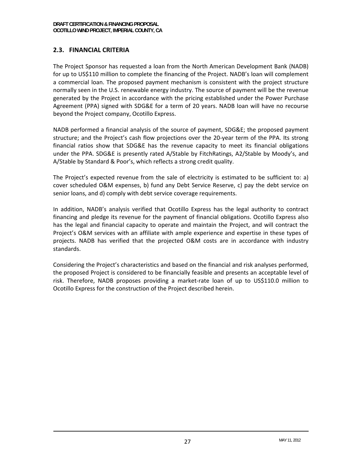# **2.3. FINANCIAL CRITERIA**

The Project Sponsor has requested a loan from the North American Development Bank (NADB) for up to US\$110 million to complete the financing of the Project. NADB's loan will complement a commercial loan. The proposed payment mechanism is consistent with the project structure normally seen in the U.S. renewable energy industry. The source of payment will be the revenue generated by the Project in accordance with the pricing established under the Power Purchase Agreement (PPA) signed with SDG&E for a term of 20 years. NADB loan will have no recourse beyond the Project company, Ocotillo Express.

NADB performed a financial analysis of the source of payment, SDG&E; the proposed payment structure; and the Project's cash flow projections over the 20‐year term of the PPA. Its strong financial ratios show that SDG&E has the revenue capacity to meet its financial obligations under the PPA. SDG&E is presently rated A/Stable by FitchRatings, A2/Stable by Moody's, and A/Stable by Standard & Poor's, which reflects a strong credit quality.

The Project's expected revenue from the sale of electricity is estimated to be sufficient to: a) cover scheduled O&M expenses, b) fund any Debt Service Reserve, c) pay the debt service on senior loans, and d) comply with debt service coverage requirements.

In addition, NADB's analysis verified that Ocotillo Express has the legal authority to contract financing and pledge its revenue for the payment of financial obligations. Ocotillo Express also has the legal and financial capacity to operate and maintain the Project, and will contract the Project's O&M services with an affiliate with ample experience and expertise in these types of projects. NADB has verified that the projected O&M costs are in accordance with industry standards.

Considering the Project's characteristics and based on the financial and risk analyses performed, the proposed Project is considered to be financially feasible and presents an acceptable level of risk. Therefore, NADB proposes providing a market‐rate loan of up to US\$110.0 million to Ocotillo Express for the construction of the Project described herein.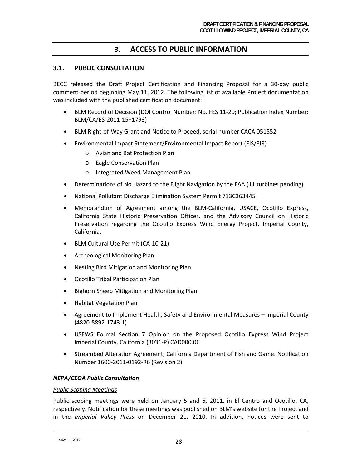# **3. ACCESS TO PUBLIC INFORMATION**

#### **3.1. PUBLIC CONSULTATION**

BECC released the Draft Project Certification and Financing Proposal for a 30‐day public comment period beginning May 11, 2012. The following list of available Project documentation was included with the published certification document:

- BLM Record of Decision (DOI Control Number: No. FES 11‐20; Publication Index Number: BLM/CA/ES‐2011‐15+1793)
- BLM Right-of-Way Grant and Notice to Proceed, serial number CACA 051552
- Environmental Impact Statement/Environmental Impact Report (EIS/EIR)
	- o Avian and Bat Protection Plan
	- o Eagle Conservation Plan
	- o Integrated Weed Management Plan
- Determinations of No Hazard to the Flight Navigation by the FAA (11 turbines pending)
- National Pollutant Discharge Elimination System Permit 713C363445
- Memorandum of Agreement among the BLM‐California, USACE, Ocotillo Express, California State Historic Preservation Officer, and the Advisory Council on Historic Preservation regarding the Ocotillo Express Wind Energy Project, Imperial County, California.
- BLM Cultural Use Permit (CA‐10‐21)
- Archeological Monitoring Plan
- Nesting Bird Mitigation and Monitoring Plan
- Ocotillo Tribal Participation Plan
- Bighorn Sheep Mitigation and Monitoring Plan
- Habitat Vegetation Plan
- Agreement to Implement Health, Safety and Environmental Measures Imperial County (4820‐5892‐1743.1)
- USFWS Formal Section 7 Opinion on the Proposed Ocotillo Express Wind Project Imperial County, California (3031‐P) CAD000.06
- Streambed Alteration Agreement, California Department of Fish and Game. Notification Number 1600‐2011‐0192‐R6 (Revision 2)

#### *NEPA/CEQA Public Consultation*

#### *Public Scoping Meetings*

Public scoping meetings were held on January 5 and 6, 2011, in El Centro and Ocotillo, CA, respectively. Notification for these meetings was published on BLM's website for the Project and in the *Imperial Valley Press* on December 21, 2010. In addition, notices were sent to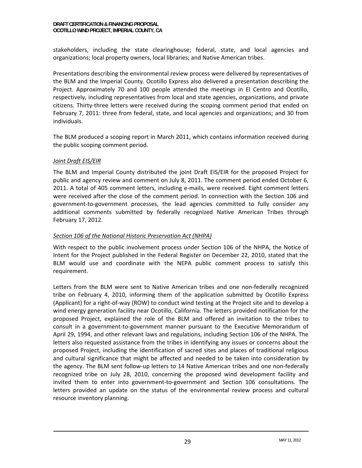stakeholders, including the state clearinghouse; federal, state, and local agencies and organizations; local property owners, local libraries; and Native American tribes.

Presentations describing the environmental review process were delivered by representatives of the BLM and the Imperial County. Ocotillo Express also delivered a presentation describing the Project. Approximately 70 and 100 people attended the meetings in El Centro and Ocotillo, respectively, including representatives from local and state agencies, organizations, and private citizens. Thirty‐three letters were received during the scoping comment period that ended on February 7, 2011: three from federal, state, and local agencies and organizations; and 30 from individuals.

The BLM produced a scoping report in March 2011, which contains information received during the public scoping comment period.

### *Joint Draft EIS/EIR*

The BLM and Imperial County distributed the joint Draft EIS/EIR for the proposed Project for public and agency review and comment on July 8, 2011. The comment period ended October 6, 2011. A total of 405 comment letters, including e-mails, were received. Eight comment letters were received after the close of the comment period. In connection with the Section 106 and government‐to‐government processes, the lead agencies committed to fully consider any additional comments submitted by federally recognized Native American Tribes through February 17, 2012.

#### *Section 106 of the National Historic Preservation Act (NHPA)*

With respect to the public involvement process under Section 106 of the NHPA, the Notice of Intent for the Project published in the Federal Register on December 22, 2010, stated that the BLM would use and coordinate with the NEPA public comment process to satisfy this requirement.

Letters from the BLM were sent to Native American tribes and one non-federally recognized tribe on February 4, 2010, informing them of the application submitted by Ocotillo Express (Applicant) for a right‐of‐way (ROW) to conduct wind testing at the Project site and to develop a wind energy generation facility near Ocotillo, California. The letters provided notification for the proposed Project, explained the role of the BLM and offered an invitation to the tribes to consult in a government‐to‐government manner pursuant to the Executive Memorandum of April 29, 1994, and other relevant laws and regulations, including Section 106 of the NHPA. The letters also requested assistance from the tribes in identifying any issues or concerns about the proposed Project, including the identification of sacred sites and places of traditional religious and cultural significance that might be affected and needed to be taken into consideration by the agency. The BLM sent follow‐up letters to 14 Native American tribes and one non‐federally recognized tribe on July 28, 2010, concerning the proposed wind development facility and invited them to enter into government‐to‐government and Section 106 consultations. The letters provided an update on the status of the environmental review process and cultural resource inventory planning.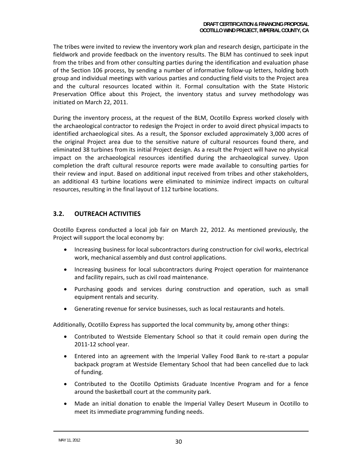The tribes were invited to review the inventory work plan and research design, participate in the fieldwork and provide feedback on the inventory results. The BLM has continued to seek input from the tribes and from other consulting parties during the identification and evaluation phase of the Section 106 process, by sending a number of informative follow‐up letters, holding both group and individual meetings with various parties and conducting field visits to the Project area and the cultural resources located within it. Formal consultation with the State Historic Preservation Office about this Project, the inventory status and survey methodology was initiated on March 22, 2011.

During the inventory process, at the request of the BLM, Ocotillo Express worked closely with the archaeological contractor to redesign the Project in order to avoid direct physical impacts to identified archaeological sites. As a result, the Sponsor excluded approximately 3,000 acres of the original Project area due to the sensitive nature of cultural resources found there, and eliminated 38 turbines from its initial Project design. As a result the Project will have no physical impact on the archaeological resources identified during the archaeological survey. Upon completion the draft cultural resource reports were made available to consulting parties for their review and input. Based on additional input received from tribes and other stakeholders, an additional 43 turbine locations were eliminated to minimize indirect impacts on cultural resources, resulting in the final layout of 112 turbine locations.

## **3.2. OUTREACH ACTIVITIES**

Ocotillo Express conducted a local job fair on March 22, 2012. As mentioned previously, the Project will support the local economy by:

- Increasing business for local subcontractors during construction for civil works, electrical work, mechanical assembly and dust control applications.
- Increasing business for local subcontractors during Project operation for maintenance and facility repairs, such as civil road maintenance.
- Purchasing goods and services during construction and operation, such as small equipment rentals and security.
- Generating revenue for service businesses, such as local restaurants and hotels.

Additionally, Ocotillo Express has supported the local community by, among other things:

- Contributed to Westside Elementary School so that it could remain open during the 2011‐12 school year.
- Entered into an agreement with the Imperial Valley Food Bank to re-start a popular backpack program at Westside Elementary School that had been cancelled due to lack of funding.
- Contributed to the Ocotillo Optimists Graduate Incentive Program and for a fence around the basketball court at the community park.
- Made an initial donation to enable the Imperial Valley Desert Museum in Ocotillo to meet its immediate programming funding needs.